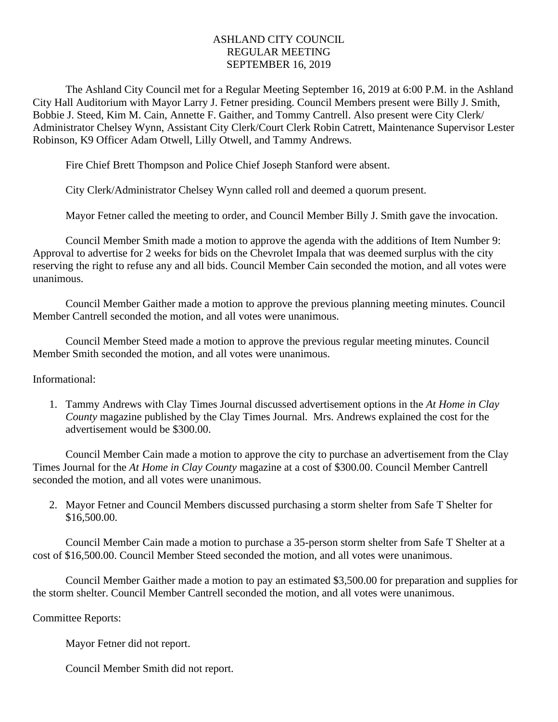## ASHLAND CITY COUNCIL REGULAR MEETING SEPTEMBER 16, 2019

The Ashland City Council met for a Regular Meeting September 16, 2019 at 6:00 P.M. in the Ashland City Hall Auditorium with Mayor Larry J. Fetner presiding. Council Members present were Billy J. Smith, Bobbie J. Steed, Kim M. Cain, Annette F. Gaither, and Tommy Cantrell. Also present were City Clerk/ Administrator Chelsey Wynn, Assistant City Clerk/Court Clerk Robin Catrett, Maintenance Supervisor Lester Robinson, K9 Officer Adam Otwell, Lilly Otwell, and Tammy Andrews.

Fire Chief Brett Thompson and Police Chief Joseph Stanford were absent.

City Clerk/Administrator Chelsey Wynn called roll and deemed a quorum present.

Mayor Fetner called the meeting to order, and Council Member Billy J. Smith gave the invocation.

Council Member Smith made a motion to approve the agenda with the additions of Item Number 9: Approval to advertise for 2 weeks for bids on the Chevrolet Impala that was deemed surplus with the city reserving the right to refuse any and all bids. Council Member Cain seconded the motion, and all votes were unanimous.

Council Member Gaither made a motion to approve the previous planning meeting minutes. Council Member Cantrell seconded the motion, and all votes were unanimous.

Council Member Steed made a motion to approve the previous regular meeting minutes. Council Member Smith seconded the motion, and all votes were unanimous.

Informational:

1. Tammy Andrews with Clay Times Journal discussed advertisement options in the *At Home in Clay County* magazine published by the Clay Times Journal*.* Mrs. Andrews explained the cost for the advertisement would be \$300.00.

Council Member Cain made a motion to approve the city to purchase an advertisement from the Clay Times Journal for the *At Home in Clay County* magazine at a cost of \$300.00. Council Member Cantrell seconded the motion, and all votes were unanimous.

2. Mayor Fetner and Council Members discussed purchasing a storm shelter from Safe T Shelter for \$16,500.00.

Council Member Cain made a motion to purchase a 35-person storm shelter from Safe T Shelter at a cost of \$16,500.00. Council Member Steed seconded the motion, and all votes were unanimous.

Council Member Gaither made a motion to pay an estimated \$3,500.00 for preparation and supplies for the storm shelter. Council Member Cantrell seconded the motion, and all votes were unanimous.

Committee Reports:

Mayor Fetner did not report.

Council Member Smith did not report.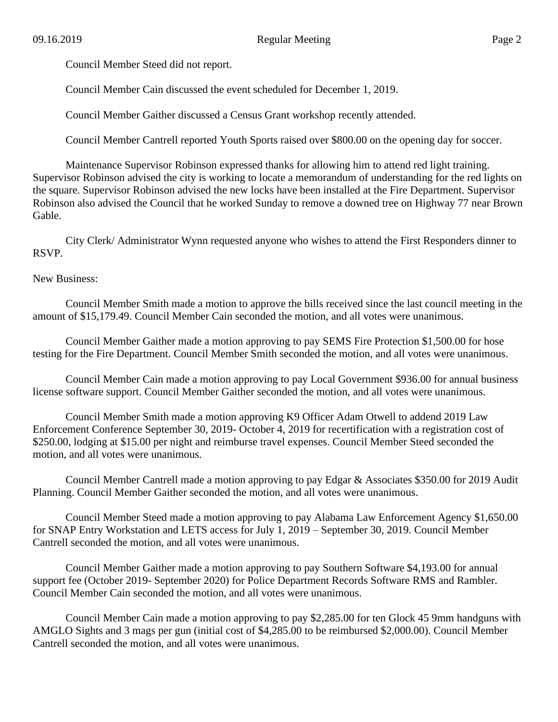Council Member Steed did not report.

Council Member Cain discussed the event scheduled for December 1, 2019.

Council Member Gaither discussed a Census Grant workshop recently attended.

Council Member Cantrell reported Youth Sports raised over \$800.00 on the opening day for soccer.

Maintenance Supervisor Robinson expressed thanks for allowing him to attend red light training. Supervisor Robinson advised the city is working to locate a memorandum of understanding for the red lights on the square. Supervisor Robinson advised the new locks have been installed at the Fire Department. Supervisor Robinson also advised the Council that he worked Sunday to remove a downed tree on Highway 77 near Brown Gable.

City Clerk/ Administrator Wynn requested anyone who wishes to attend the First Responders dinner to RSVP.

## New Business:

Council Member Smith made a motion to approve the bills received since the last council meeting in the amount of \$15,179.49. Council Member Cain seconded the motion, and all votes were unanimous.

Council Member Gaither made a motion approving to pay SEMS Fire Protection \$1,500.00 for hose testing for the Fire Department. Council Member Smith seconded the motion, and all votes were unanimous.

Council Member Cain made a motion approving to pay Local Government \$936.00 for annual business license software support. Council Member Gaither seconded the motion, and all votes were unanimous.

Council Member Smith made a motion approving K9 Officer Adam Otwell to addend 2019 Law Enforcement Conference September 30, 2019- October 4, 2019 for recertification with a registration cost of \$250.00, lodging at \$15.00 per night and reimburse travel expenses. Council Member Steed seconded the motion, and all votes were unanimous.

Council Member Cantrell made a motion approving to pay Edgar & Associates \$350.00 for 2019 Audit Planning. Council Member Gaither seconded the motion, and all votes were unanimous.

Council Member Steed made a motion approving to pay Alabama Law Enforcement Agency \$1,650.00 for SNAP Entry Workstation and LETS access for July 1, 2019 – September 30, 2019. Council Member Cantrell seconded the motion, and all votes were unanimous.

Council Member Gaither made a motion approving to pay Southern Software \$4,193.00 for annual support fee (October 2019- September 2020) for Police Department Records Software RMS and Rambler. Council Member Cain seconded the motion, and all votes were unanimous.

Council Member Cain made a motion approving to pay \$2,285.00 for ten Glock 45 9mm handguns with AMGLO Sights and 3 mags per gun (initial cost of \$4,285.00 to be reimbursed \$2,000.00). Council Member Cantrell seconded the motion, and all votes were unanimous.